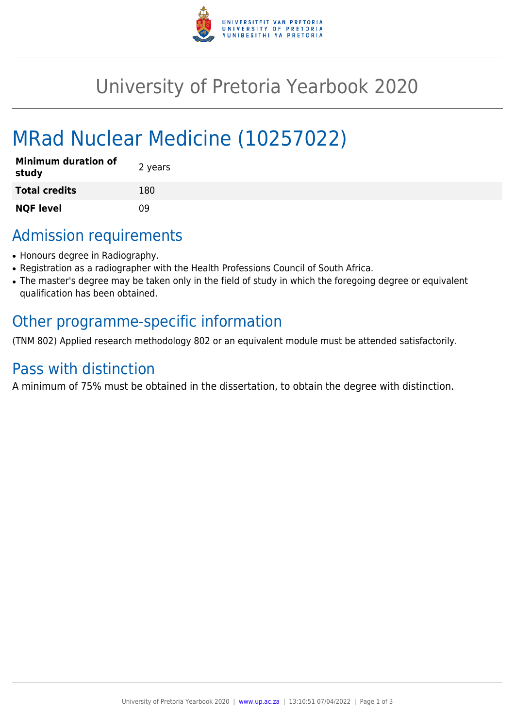

# University of Pretoria Yearbook 2020

# MRad Nuclear Medicine (10257022)

| <b>Minimum duration of</b><br>study | 2 years |
|-------------------------------------|---------|
| <b>Total credits</b>                | 180     |
| <b>NQF level</b>                    | 09      |

## Admission requirements

- Honours degree in Radiography.
- Registration as a radiographer with the Health Professions Council of South Africa.
- The master's degree may be taken only in the field of study in which the foregoing degree or equivalent qualification has been obtained.

### Other programme-specific information

(TNM 802) Applied research methodology 802 or an equivalent module must be attended satisfactorily.

### Pass with distinction

A minimum of 75% must be obtained in the dissertation, to obtain the degree with distinction.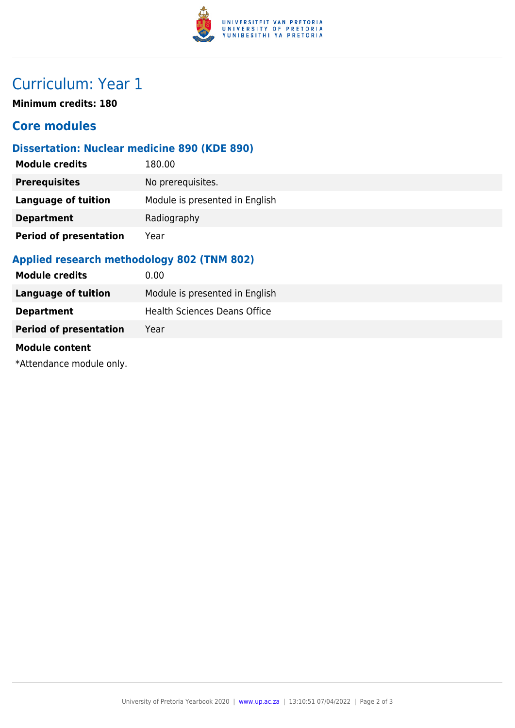

## Curriculum: Year 1

**Minimum credits: 180**

### **Core modules**

#### **Dissertation: Nuclear medicine 890 (KDE 890)**

| <b>Module credits</b>         | 180.00                         |
|-------------------------------|--------------------------------|
| <b>Prerequisites</b>          | No prerequisites.              |
| <b>Language of tuition</b>    | Module is presented in English |
| <b>Department</b>             | Radiography                    |
| <b>Period of presentation</b> | Year                           |

#### **Applied research methodology 802 (TNM 802)**

| <b>Module credits</b>         | $0.00 \,$                      |
|-------------------------------|--------------------------------|
| Language of tuition           | Module is presented in English |
| <b>Department</b>             | Health Sciences Deans Office   |
| <b>Period of presentation</b> | Year                           |

#### **Module content**

\*Attendance module only.